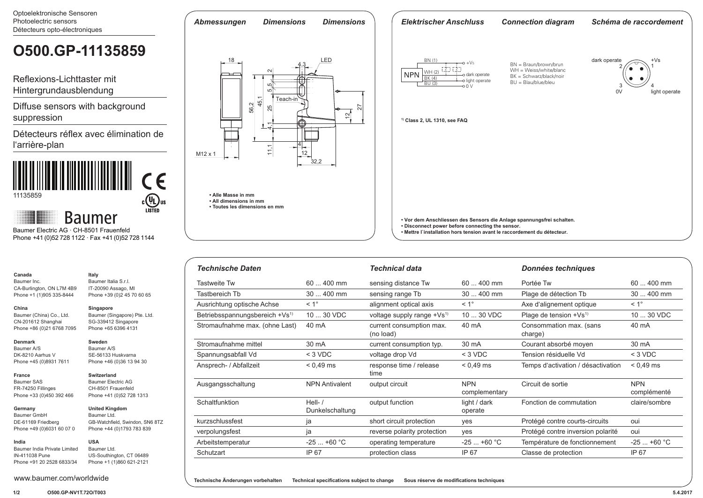Optoelektronische Sensoren

#### Photoelectric sensors *Abmessungen Dimensions Dimensions Elektrischer Anschluss Connection diagram Schéma de raccordement* Détecteurs opto-électroniques **O500.GP-11135859**18 LED dark operate  $+Vs$ BN (1)  $\rightarrow$  +Vs BN = Braun/brown/brun 4,3 CŽD CŽD 2 1 WH = Weiss/white/blanc WH (2)<br>BK (4) 11,1  $\leftarrow$  4,1 25 5,5  $\leftarrow$  25  $\leftarrow$  36.5  $\leftarrow$  26  $\leftarrow$  36.5  $\leftarrow$  26 **NPN** o dark operate BK = Schwarz/black/noir Reflexions-Lichttaster mit o light operate BU = Blau/blue/bleu  $\overline{BU(3)}$  0 V 3<br>0V 4 Hintergrundausblendung Ш light operate 45,1 Diffuse sensors with background 56,2 25 27  $\Xi$ suppression **1) Class 2, UL 1310, see FAQ**  $\overset{.}{\tau}$ V Détecteurs réflex avec élimination de l'arrière-plan 4  $12$ M12 x 1 32,2 **• Alle Masse in mm** 11135859  $c$ (U<sub>L</sub>) us **• All dimensions in mm • Toutes les dimensions en mm Baumer • Vor dem Anschliessen des Sensors die Anlage spannungsfrei schalten. • Disconnect power before connecting the sensor.**  Baumer Electric AG · CH-8501 Frauenfeld **• Mettre l`installation hors tension avant le raccordement du détecteur.** Phone +41 (0)52 728 1122 · Fax +41 (0)52 728 1144

| <b>Technische Daten</b>                    |                              | <b>Technical data</b>                  |                             | <b>Données techniques</b>          |                           |
|--------------------------------------------|------------------------------|----------------------------------------|-----------------------------|------------------------------------|---------------------------|
| <b>Tastweite Tw</b>                        | $60400$ mm                   | sensing distance Tw                    | $60400$ mm                  | Portée Tw                          | $60400$ mm                |
| Tastbereich Tb                             | 30  400 mm                   | sensing range Tb                       | $30400$ mm                  | Plage de détection Tb              | 30  400 mm                |
| Ausrichtung optische Achse                 | $< 1^{\circ}$                | alignment optical axis                 | $< 1^{\circ}$               | Axe d'alignement optique           | $< 1^{\circ}$             |
| Betriebsspannungsbereich +Vs <sup>1)</sup> | 10  30 VDC                   | voltage supply range +Vs <sup>1)</sup> | 10  30 VDC                  | Plage de tension $+Vs^{1}$         | 10  30 VDC                |
| Stromaufnahme max. (ohne Last)             | 40 mA                        | current consumption max.<br>(no load)  | 40 mA                       | Consommation max. (sans<br>charge) | 40 mA                     |
| Stromaufnahme mittel                       | 30 mA                        | current consumption typ.               | 30 mA                       | Courant absorbé moyen              | 30 mA                     |
| Spannungsabfall Vd                         | $<$ 3 VDC                    | voltage drop Vd                        | $<$ 3 VDC                   | Tension résiduelle Vd              | $<$ 3 VDC                 |
| Ansprech- / Abfallzeit                     | $< 0.49$ ms                  | response time / release<br>time        | $< 0.49$ ms                 | Temps d'activation / désactivation | $< 0.49$ ms               |
| Ausgangsschaltung                          | <b>NPN Antivalent</b>        | output circuit                         | <b>NPN</b><br>complementary | Circuit de sortie                  | <b>NPN</b><br>complémenté |
| Schaltfunktion                             | Hell- $/$<br>Dunkelschaltung | output function                        | light / dark<br>operate     | Fonction de commutation            | claire/sombre             |
| kurzschlussfest                            | ja                           | short circuit protection               | yes                         | Protégé contre courts-circuits     | oui                       |
| verpolungsfest                             | ja                           | reverse polarity protection            | yes                         | Protégé contre inversion polarité  | oui                       |
| Arbeitstemperatur                          | $-25+60 °C$                  | operating temperature                  | $-25+60 °C$                 | Température de fonctionnement      | $-25+60 °C$               |
| Schutzart                                  | IP 67                        | protection class                       | IP 67                       | Classe de protection               | IP 67                     |

FR-74250 Fillinges Phone +33 (0)450 392 466 **Germany**  Baumer GmbH

DE-61169 Friedberg

CA-Burlington, ON L7M 4B9 Phone +1 (1)905 335-8444

Baumer (China) Co., Ltd. CN-201612 Shanghai Phone +86 (0)21 6768 7095

**Canada** Baumer Inc.

**China**

**Denmark** Baumer A/S DK-8210 Aarhus V Phone +45 (0)8931 7611

**France** Baumer SAS

**India**

Phone +49 (0)6031 60 07 0 **United Kingdom** Baumer Ltd. GB-Watchfield, Swindon, SN6 8TZ Phone +44 (0)1793 783 839

**Italy** Baumer Italia S.r.l. IT-20090 Assago, MI Phone +39 (0)2 45 70 60 65

**Singapore**

**Sweden** Baumer A/S SE-56133 Huskvarna Phone +46 (0)36 13 94 30

**Switzerland** Baumer Electric AG CH-8501 Frauenfeld Phone +41 (0)52 728 1313

Baumer (Singapore) Pte. Ltd. SG-339412 Singapore Phone +65 6396 4131

Baumer India Private Limited IN-411038 Pune Phone +91 20 2528 6833/34 **USA** Baumer Ltd. US-Southington, CT 06489 Phone +1 (1)860 621-2121

**Technische Änderungen vorbehalten Technical specifications subject to change Sous réserve de modifications techniques**